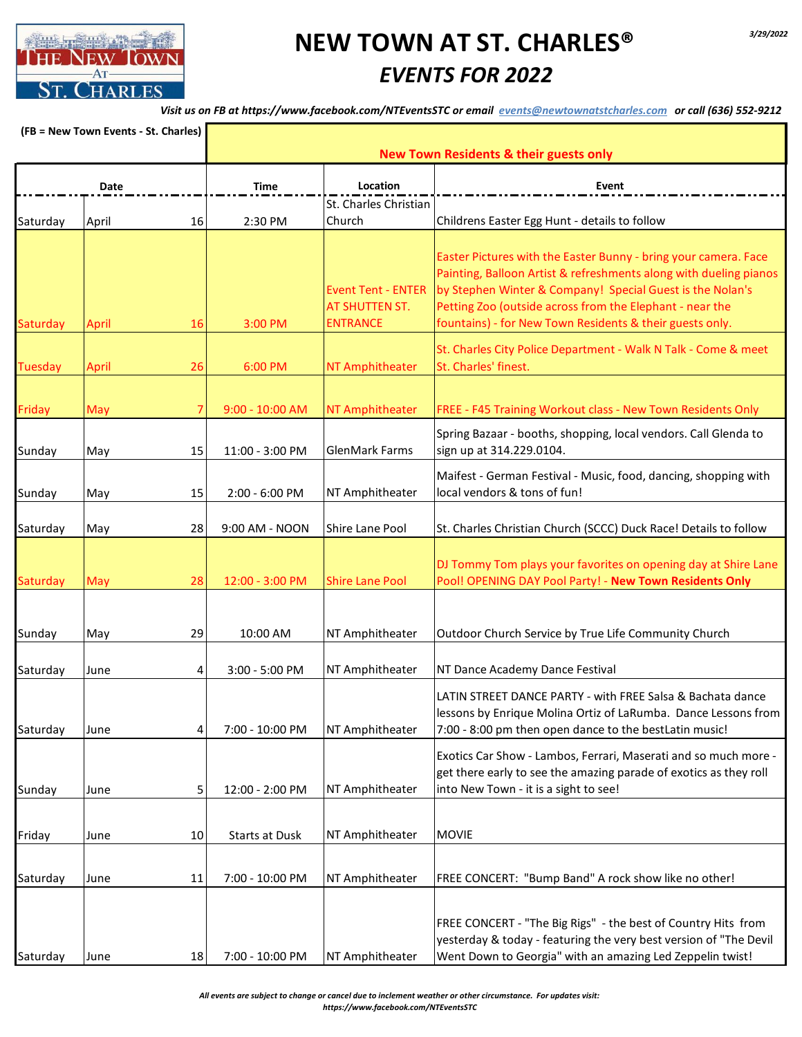

*Visit us on FB at https://www.facebook.com/NTEventsSTC or email events@newtownatstcharles.com or call (636) 552-9212*

| (FB = New Town Events - St. Charles)<br>Date |              |    | <b>New Town Residents &amp; their guests only</b> |                                                                       |                                                                                                                                                                                                                                                                                                                           |  |
|----------------------------------------------|--------------|----|---------------------------------------------------|-----------------------------------------------------------------------|---------------------------------------------------------------------------------------------------------------------------------------------------------------------------------------------------------------------------------------------------------------------------------------------------------------------------|--|
|                                              |              |    | <b>Time</b>                                       | Location<br>St. Charles Christian                                     | Event                                                                                                                                                                                                                                                                                                                     |  |
| Saturday                                     | April        | 16 | 2:30 PM                                           | Church                                                                | Childrens Easter Egg Hunt - details to follow                                                                                                                                                                                                                                                                             |  |
| Saturday                                     | <b>April</b> | 16 | 3:00 PM                                           | <b>Event Tent - ENTER</b><br><b>AT SHUTTEN ST.</b><br><b>ENTRANCE</b> | Easter Pictures with the Easter Bunny - bring your camera. Face<br>Painting, Balloon Artist & refreshments along with dueling pianos<br>by Stephen Winter & Company! Special Guest is the Nolan's<br>Petting Zoo (outside across from the Elephant - near the<br>fountains) - for New Town Residents & their guests only. |  |
| <b>Tuesday</b>                               | April        | 26 | 6:00 PM                                           | NT Amphitheater                                                       | St. Charles City Police Department - Walk N Talk - Come & meet<br>St. Charles' finest.                                                                                                                                                                                                                                    |  |
| Friday                                       | May          |    | $9:00 - 10:00$ AM                                 | NT Amphitheater                                                       | FREE - F45 Training Workout class - New Town Residents Only                                                                                                                                                                                                                                                               |  |
| Sunday                                       | May          | 15 | 11:00 - 3:00 PM                                   | <b>GlenMark Farms</b>                                                 | Spring Bazaar - booths, shopping, local vendors. Call Glenda to<br>sign up at 314.229.0104.                                                                                                                                                                                                                               |  |
| Sunday                                       | May          | 15 | 2:00 - 6:00 PM                                    | NT Amphitheater                                                       | Maifest - German Festival - Music, food, dancing, shopping with<br>local vendors & tons of fun!                                                                                                                                                                                                                           |  |
| Saturday                                     | May          | 28 | 9:00 AM - NOON                                    | Shire Lane Pool                                                       | St. Charles Christian Church (SCCC) Duck Race! Details to follow                                                                                                                                                                                                                                                          |  |
| Saturday                                     | May          | 28 | 12:00 - 3:00 PM                                   | <b>Shire Lane Pool</b>                                                | DJ Tommy Tom plays your favorites on opening day at Shire Lane<br>Pool! OPENING DAY Pool Party! - New Town Residents Only                                                                                                                                                                                                 |  |
| Sunday                                       | May          | 29 | 10:00 AM                                          | NT Amphitheater                                                       | Outdoor Church Service by True Life Community Church                                                                                                                                                                                                                                                                      |  |
| Saturday                                     | June         | 4  | 3:00 - 5:00 PM                                    | NT Amphitheater                                                       | NT Dance Academy Dance Festival                                                                                                                                                                                                                                                                                           |  |
| Saturday                                     | June         | 4  | 7:00 - 10:00 PM                                   | NT Amphitheater                                                       | LATIN STREET DANCE PARTY - with FREE Salsa & Bachata dance<br>lessons by Enrique Molina Ortiz of LaRumba. Dance Lessons from<br>7:00 - 8:00 pm then open dance to the bestLatin music!                                                                                                                                    |  |
| Sunday                                       | June         | 5  | 12:00 - 2:00 PM                                   | NT Amphitheater                                                       | Exotics Car Show - Lambos, Ferrari, Maserati and so much more -<br>get there early to see the amazing parade of exotics as they roll<br>into New Town - it is a sight to see!                                                                                                                                             |  |
|                                              |              |    |                                                   |                                                                       |                                                                                                                                                                                                                                                                                                                           |  |
| Friday                                       | June         | 10 | <b>Starts at Dusk</b>                             | NT Amphitheater                                                       | <b>MOVIE</b>                                                                                                                                                                                                                                                                                                              |  |
| Saturday                                     | June         | 11 | 7:00 - 10:00 PM                                   | NT Amphitheater                                                       | FREE CONCERT: "Bump Band" A rock show like no other!                                                                                                                                                                                                                                                                      |  |
| Saturday                                     | June         | 18 | 7:00 - 10:00 PM                                   | NT Amphitheater                                                       | FREE CONCERT - "The Big Rigs" - the best of Country Hits from<br>yesterday & today - featuring the very best version of "The Devil<br>Went Down to Georgia" with an amazing Led Zeppelin twist!                                                                                                                           |  |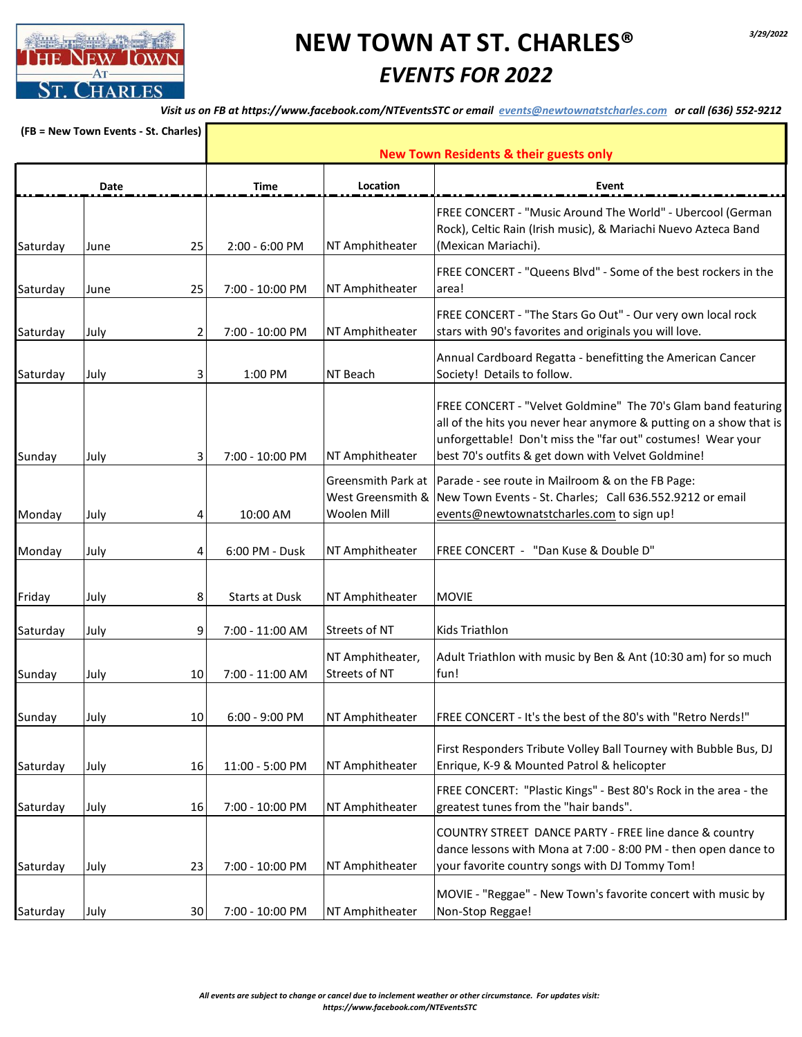

*Visit us on FB at https://www.facebook.com/NTEventsSTC or email events@newtownatstcharles.com or call (636) 552-9212*

| (FB = New Town Events - St. Charles) |      |    | <b>New Town Residents &amp; their guests only</b> |                                                        |                                                                                                                                                                                                                                                          |  |
|--------------------------------------|------|----|---------------------------------------------------|--------------------------------------------------------|----------------------------------------------------------------------------------------------------------------------------------------------------------------------------------------------------------------------------------------------------------|--|
|                                      | Date |    | Time                                              | Location                                               | Event                                                                                                                                                                                                                                                    |  |
| Saturday                             | June | 25 | 2:00 - 6:00 PM                                    | NT Amphitheater                                        | FREE CONCERT - "Music Around The World" - Ubercool (German<br>Rock), Celtic Rain (Irish music), & Mariachi Nuevo Azteca Band<br>(Mexican Mariachi).                                                                                                      |  |
| Saturday                             | June | 25 | 7:00 - 10:00 PM                                   | NT Amphitheater                                        | FREE CONCERT - "Queens Blvd" - Some of the best rockers in the<br>area!                                                                                                                                                                                  |  |
| Saturday                             | July | 2  | 7:00 - 10:00 PM                                   | NT Amphitheater                                        | FREE CONCERT - "The Stars Go Out" - Our very own local rock<br>stars with 90's favorites and originals you will love.                                                                                                                                    |  |
| Saturday                             | July | 3  | 1:00 PM                                           | NT Beach                                               | Annual Cardboard Regatta - benefitting the American Cancer<br>Society! Details to follow.                                                                                                                                                                |  |
| Sunday                               | July | 3  | 7:00 - 10:00 PM                                   | NT Amphitheater                                        | FREE CONCERT - "Velvet Goldmine" The 70's Glam band featuring<br>all of the hits you never hear anymore & putting on a show that is<br>unforgettable! Don't miss the "far out" costumes! Wear your<br>best 70's outfits & get down with Velvet Goldmine! |  |
| Monday                               | July | 4  | 10:00 AM                                          | Greensmith Park at<br>West Greensmith &<br>Woolen Mill | Parade - see route in Mailroom & on the FB Page:<br>New Town Events - St. Charles; Call 636.552.9212 or email<br>events@newtownatstcharles.com to sign up!                                                                                               |  |
| Monday                               | July | 4  | 6:00 PM - Dusk                                    | NT Amphitheater                                        | FREE CONCERT - "Dan Kuse & Double D"                                                                                                                                                                                                                     |  |
| Friday                               | July | 8  | <b>Starts at Dusk</b>                             | NT Amphitheater                                        | <b>MOVIE</b>                                                                                                                                                                                                                                             |  |
| Saturday                             | July | 9  | 7:00 - 11:00 AM                                   | Streets of NT                                          | Kids Triathlon                                                                                                                                                                                                                                           |  |
| Sunday                               | July | 10 | 7:00 - 11:00 AM                                   | NT Amphitheater,<br>Streets of NT                      | Adult Triathlon with music by Ben & Ant (10:30 am) for so much<br>fun!                                                                                                                                                                                   |  |
| Sunday                               | July | 10 | $6:00 - 9:00$ PM                                  | NT Amphitheater                                        | FREE CONCERT - It's the best of the 80's with "Retro Nerds!"                                                                                                                                                                                             |  |
| Saturday                             | July | 16 | 11:00 - 5:00 PM                                   | NT Amphitheater                                        | First Responders Tribute Volley Ball Tourney with Bubble Bus, DJ<br>Enrique, K-9 & Mounted Patrol & helicopter                                                                                                                                           |  |
| Saturday                             | July | 16 | 7:00 - 10:00 PM                                   | NT Amphitheater                                        | FREE CONCERT: "Plastic Kings" - Best 80's Rock in the area - the<br>greatest tunes from the "hair bands".                                                                                                                                                |  |
| Saturday                             | July | 23 | 7:00 - 10:00 PM                                   | NT Amphitheater                                        | COUNTRY STREET DANCE PARTY - FREE line dance & country<br>dance lessons with Mona at 7:00 - 8:00 PM - then open dance to<br>your favorite country songs with DJ Tommy Tom!                                                                               |  |
| Saturday                             | July | 30 | 7:00 - 10:00 PM                                   | NT Amphitheater                                        | MOVIE - "Reggae" - New Town's favorite concert with music by<br>Non-Stop Reggae!                                                                                                                                                                         |  |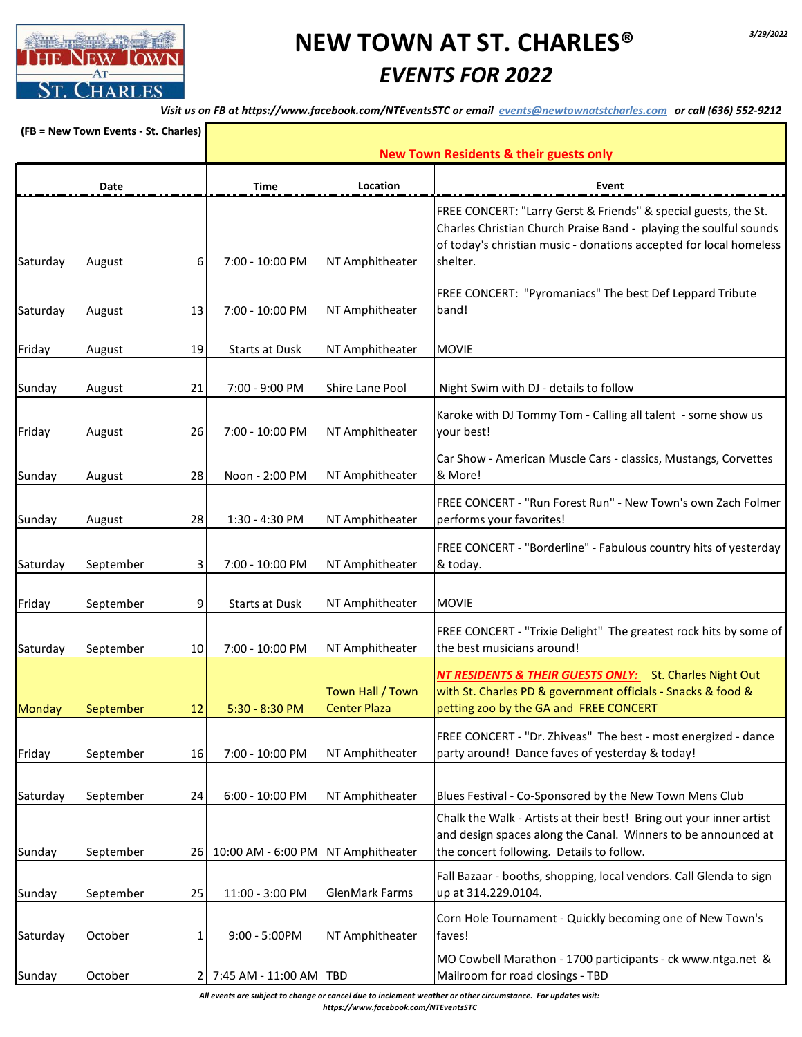

*Visit us on FB at https://www.facebook.com/NTEventsSTC or email events@newtownatstcharles.com or call (636) 552-9212*

| (FB = New Town Events - St. Charles) |           | <b>New Town Residents &amp; their guests only</b> |                                    |                                         |                                                                                                                                                                                                                        |
|--------------------------------------|-----------|---------------------------------------------------|------------------------------------|-----------------------------------------|------------------------------------------------------------------------------------------------------------------------------------------------------------------------------------------------------------------------|
| Date                                 |           |                                                   | Time                               | Location                                | Event                                                                                                                                                                                                                  |
| Saturday                             | August    | 6                                                 | 7:00 - 10:00 PM                    | NT Amphitheater                         | FREE CONCERT: "Larry Gerst & Friends" & special guests, the St.<br>Charles Christian Church Praise Band - playing the soulful sounds<br>of today's christian music - donations accepted for local homeless<br>shelter. |
| Saturday                             | August    | 13                                                | 7:00 - 10:00 PM                    | NT Amphitheater                         | FREE CONCERT: "Pyromaniacs" The best Def Leppard Tribute<br>band!                                                                                                                                                      |
| Friday                               | August    | 19                                                | <b>Starts at Dusk</b>              | NT Amphitheater                         | <b>MOVIE</b>                                                                                                                                                                                                           |
| Sunday                               | August    | 21                                                | 7:00 - 9:00 PM                     | Shire Lane Pool                         | Night Swim with DJ - details to follow                                                                                                                                                                                 |
| Friday                               | August    | 26                                                | 7:00 - 10:00 PM                    | NT Amphitheater                         | Karoke with DJ Tommy Tom - Calling all talent - some show us<br>your best!                                                                                                                                             |
| Sunday                               | August    | 28                                                | Noon - 2:00 PM                     | NT Amphitheater                         | Car Show - American Muscle Cars - classics, Mustangs, Corvettes<br>& More!                                                                                                                                             |
| Sunday                               | August    | 28                                                | 1:30 - 4:30 PM                     | NT Amphitheater                         | FREE CONCERT - "Run Forest Run" - New Town's own Zach Folmer<br>performs your favorites!                                                                                                                               |
| Saturday                             | September | 3                                                 | 7:00 - 10:00 PM                    | NT Amphitheater                         | FREE CONCERT - "Borderline" - Fabulous country hits of yesterday<br>& today.                                                                                                                                           |
| Friday                               | September | 9                                                 | <b>Starts at Dusk</b>              | NT Amphitheater                         | <b>MOVIE</b>                                                                                                                                                                                                           |
| Saturday                             | September | 10                                                | 7:00 - 10:00 PM                    | NT Amphitheater                         | FREE CONCERT - "Trixie Delight" The greatest rock hits by some of<br>the best musicians around!                                                                                                                        |
| <b>Monday</b>                        | September | 12                                                | 5:30 - 8:30 PM                     | Town Hall / Town<br><b>Center Plaza</b> | NT RESIDENTS & THEIR GUESTS ONLY: St. Charles Night Out<br>with St. Charles PD & government officials - Snacks & food &<br>petting zoo by the GA and FREE CONCERT                                                      |
| Friday                               | September | 16                                                | 7:00 - 10:00 PM                    | NT Amphitheater                         | FREE CONCERT - "Dr. Zhiveas" The best - most energized - dance<br>party around! Dance faves of yesterday & today!                                                                                                      |
| Saturday                             | September | 24                                                | 6:00 - 10:00 PM                    | NT Amphitheater                         | Blues Festival - Co-Sponsored by the New Town Mens Club                                                                                                                                                                |
| Sunday                               | September | 26                                                | 10:00 AM - 6:00 PM NT Amphitheater |                                         | Chalk the Walk - Artists at their best! Bring out your inner artist<br>and design spaces along the Canal. Winners to be announced at<br>the concert following. Details to follow.                                      |
| Sunday                               | September | 25                                                | 11:00 - 3:00 PM                    | <b>GlenMark Farms</b>                   | Fall Bazaar - booths, shopping, local vendors. Call Glenda to sign<br>up at 314.229.0104.                                                                                                                              |
| Saturday                             | October   | 1                                                 | $9:00 - 5:00$ PM                   | NT Amphitheater                         | Corn Hole Tournament - Quickly becoming one of New Town's<br>faves!                                                                                                                                                    |
| Sunday                               | October   | $\overline{2}$                                    | 7:45 AM - 11:00 AM TBD             |                                         | MO Cowbell Marathon - 1700 participants - ck www.ntga.net &<br>Mailroom for road closings - TBD                                                                                                                        |

*All events are subject to change or cancel due to inclement weather or other circumstance. For updates visit: https://www.facebook.com/NTEventsSTC*